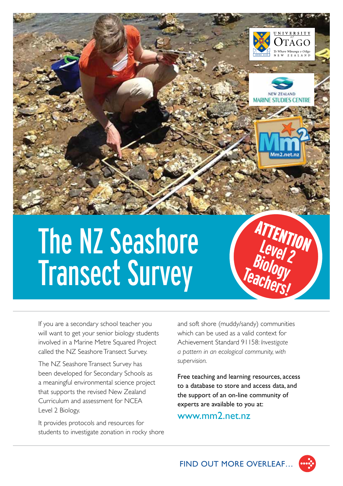

# The NZ Seashore Transect Survey

If you are a secondary school teacher you will want to get your senior biology students involved in a Marine Metre Squared Project called the NZ Seashore Transect Survey.

The NZ Seashore Transect Survey has been developed for Secondary Schools as a meaningful environmental science project that supports the revised New Zealand Curriculum and assessment for NCEA Level 2 Biology.

It provides protocols and resources for students to investigate zonation in rocky shore and soft shore (muddy/sandy) communities which can be used as a valid context for Achievement Standard 91158: *Investigate a pattern in an ecological community, with supervision.*

**Level 2**

**Biology** 

**Teachers!**

Free teaching and learning resources, access to a database to store and access data, and the support of an on-line community of experts are available to you at:

www.mm2.net.nz